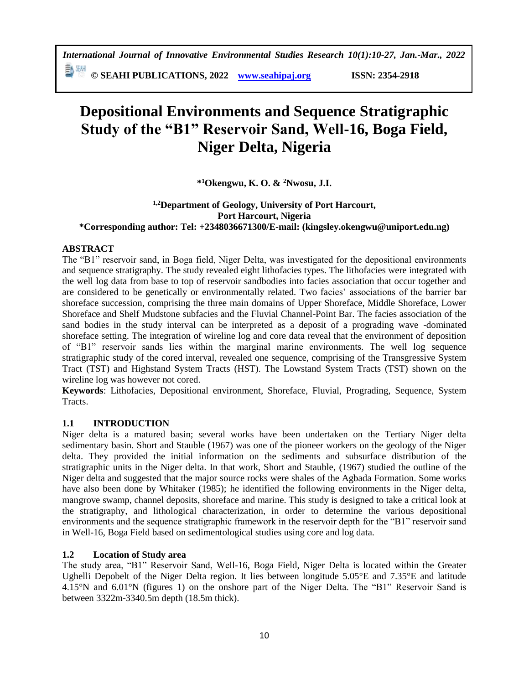勤別 **© SEAHI PUBLICATIONS, 2022 [www.seahipaj.org](http://www.seahipaj.org/) ISSN: 2354-2918**

# **Depositional Environments and Sequence Stratigraphic Study of the "B1" Reservoir Sand, Well-16, Boga Field, Niger Delta, Nigeria**

**\* <sup>1</sup>Okengwu, K. O. & <sup>2</sup>Nwosu, J.I.**

# **1,2Department of Geology, University of Port Harcourt, Port Harcourt, Nigeria \*Corresponding author: Tel: +2348036671300/E-mail: (kingsley.okengwu@uniport.edu.ng)**

# **ABSTRACT**

The "B1" reservoir sand, in Boga field, Niger Delta, was investigated for the depositional environments and sequence stratigraphy. The study revealed eight lithofacies types. The lithofacies were integrated with the well log data from base to top of reservoir sandbodies into facies association that occur together and are considered to be genetically or environmentally related. Two facies' associations of the barrier bar shoreface succession, comprising the three main domains of Upper Shoreface, Middle Shoreface, Lower Shoreface and Shelf Mudstone subfacies and the Fluvial Channel-Point Bar. The facies association of the sand bodies in the study interval can be interpreted as a deposit of a prograding wave -dominated shoreface setting. The integration of wireline log and core data reveal that the environment of deposition of "B1" reservoir sands lies within the marginal marine environments. The well log sequence stratigraphic study of the cored interval, revealed one sequence, comprising of the Transgressive System Tract (TST) and Highstand System Tracts (HST). The Lowstand System Tracts (TST) shown on the wireline log was however not cored.

**Keywords**: Lithofacies, Depositional environment, Shoreface, Fluvial, Prograding, Sequence, System Tracts.

### **1.1 INTRODUCTION**

Niger delta is a matured basin; several works have been undertaken on the Tertiary Niger delta sedimentary basin. Short and Stauble (1967) was one of the pioneer workers on the geology of the Niger delta. They provided the initial information on the sediments and subsurface distribution of the stratigraphic units in the Niger delta. In that work, Short and Stauble, (1967) studied the outline of the Niger delta and suggested that the major source rocks were shales of the Agbada Formation. Some works have also been done by Whitaker (1985); he identified the following environments in the Niger delta, mangrove swamp, channel deposits, shoreface and marine. This study is designed to take a critical look at the stratigraphy, and lithological characterization, in order to determine the various depositional environments and the sequence stratigraphic framework in the reservoir depth for the "B1" reservoir sand in Well-16, Boga Field based on sedimentological studies using core and log data.

# **1.2 Location of Study area**

The study area, "B1" Reservoir Sand, Well-16, Boga Field, Niger Delta is located within the Greater Ughelli Depobelt of the Niger Delta region. It lies between longitude 5.05°E and 7.35°E and latitude 4.15°N and 6.01°N (figures 1) on the onshore part of the Niger Delta. The "B1" Reservoir Sand is between 3322m-3340.5m depth (18.5m thick).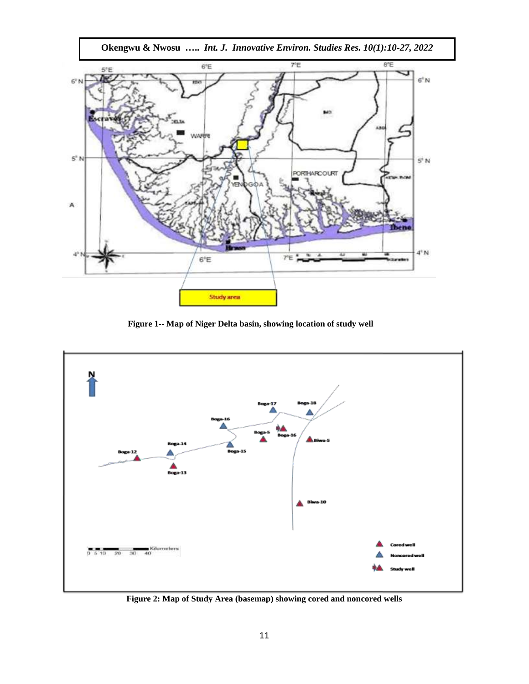

**Figure 1-- Map of Niger Delta basin, showing location of study well**



**Figure 2: Map of Study Area (basemap) showing cored and noncored wells**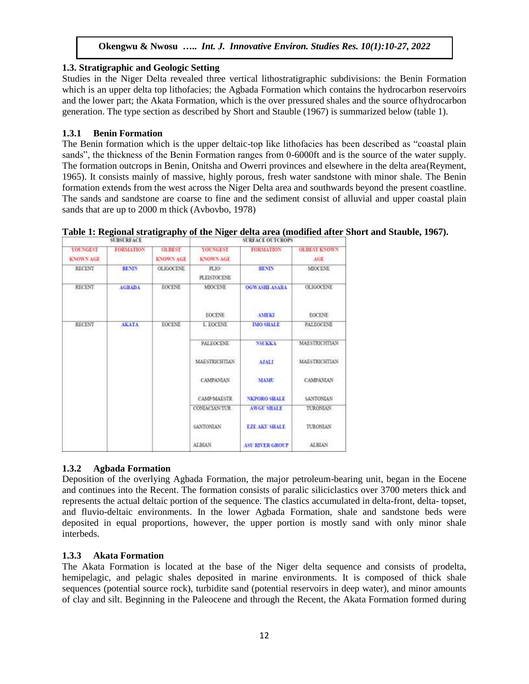## **1.3. Stratigraphic and Geologic Setting**

Studies in the Niger Delta revealed three vertical lithostratigraphic subdivisions: the Benin Formation which is an upper delta top lithofacies; the Agbada Formation which contains the hydrocarbon reservoirs and the lower part; the Akata Formation, which is the over pressured shales and the source ofhydrocarbon generation. The type section as described by Short and Stauble (1967) is summarized below (table 1).

## **1.3.1 Benin Formation**

The Benin formation which is the upper deltaic-top like lithofacies has been described as "coastal plain sands", the thickness of the Benin Formation ranges from 0-6000ft and is the source of the water supply. The formation outcrops in Benin, Onitsha and Owerri provinces and elsewhere in the delta area(Reyment, 1965). It consists mainly of massive, highly porous, fresh water sandstone with minor shale. The Benin formation extends from the west across the Niger Delta area and southwards beyond the present coastline. The sands and sandstone are coarse to fine and the sediment consist of alluvial and upper coastal plain sands that are up to 2000 m thick (Avbovbo, 1978)

| Table 1: Regional stratigraphy of the Niger delta area (modified after Short and Stauble, 1967). |  |
|--------------------------------------------------------------------------------------------------|--|
|                                                                                                  |  |

| <b>SUBSURFACE</b>                   |                  |                                   | <b>SURFACE OUTCROPS</b>             |                                          |                            |  |
|-------------------------------------|------------------|-----------------------------------|-------------------------------------|------------------------------------------|----------------------------|--|
| <b><i>VOUNGEST</i></b><br>KNOWN AGE | <b>FORMATION</b> | <b>OLDEST</b><br><b>KNOWN AGE</b> | <b>YOUNGEST</b><br><b>KNOWN AGE</b> | <b>FORMATION</b>                         | <b>OLDEST KNOWN</b><br>AGF |  |
| RECENT                              | <b>RENIN</b>     | <b>OLIGOCENE</b>                  | PLIO/<br><b>PLEISTOCENE</b>         | <b>RENIN</b>                             | <b>MIDCENE</b>             |  |
| RECENT                              | <b>AGBADA</b>    | <b>EOCENE</b>                     | <b>MIOCENE</b>                      | <b>OGWASHLASARA</b>                      | <b>OLIGOCENE</b>           |  |
|                                     |                  |                                   | <b>EOCENE</b>                       | <b>AMEKI</b>                             | <b>EOCENE</b>              |  |
| <b>RECENT</b>                       | <b>AKATA</b>     | <b>EOCENE</b>                     | L EOCENE                            | <b>IMO SHALE</b>                         | <b>PALEOCENE</b>           |  |
|                                     |                  |                                   | PALEOCENE                           | <b>NSUKKA</b>                            | <b>MAESTRICHTIAN</b>       |  |
|                                     |                  |                                   | <b>MAESTRICHTIAN</b>                | <b>ATALI</b>                             | <b>MAESTRICHTIAN</b>       |  |
|                                     |                  |                                   | CAMPANIAN                           | <b>MAMU</b>                              | CAMPANIAN                  |  |
|                                     |                  |                                   | <b>CAMP/MAESTR</b>                  | Self is of Polici<br><b>NKPORO SHALF</b> | <b>SANTONIAN</b>           |  |
|                                     |                  |                                   | <b>CONIACIAN/TUR</b>                | <b>AWGU SHALE</b>                        | TURONIAN                   |  |
|                                     |                  |                                   | <b>SANTONIAN</b>                    | <b>EZE AKT SHALE</b>                     | <b>TURONIAN</b>            |  |
|                                     |                  |                                   | ALBIAN                              | <b>ASU RIVER GROUP</b>                   | <b>ALBIAN</b>              |  |

# **1.3.2 Agbada Formation**

Deposition of the overlying Agbada Formation, the major petroleum-bearing unit, began in the Eocene and continues into the Recent. The formation consists of paralic siliciclastics over 3700 meters thick and represents the actual deltaic portion of the sequence. The clastics accumulated in delta-front, delta- topset, and fluvio-deltaic environments. In the lower Agbada Formation, shale and sandstone beds were deposited in equal proportions, however, the upper portion is mostly sand with only minor shale interbeds.

# **1.3.3 Akata Formation**

The Akata Formation is located at the base of the Niger delta sequence and consists of prodelta, hemipelagic, and pelagic shales deposited in marine environments. It is composed of thick shale sequences (potential source rock), turbidite sand (potential reservoirs in deep water), and minor amounts of clay and silt. Beginning in the Paleocene and through the Recent, the Akata Formation formed during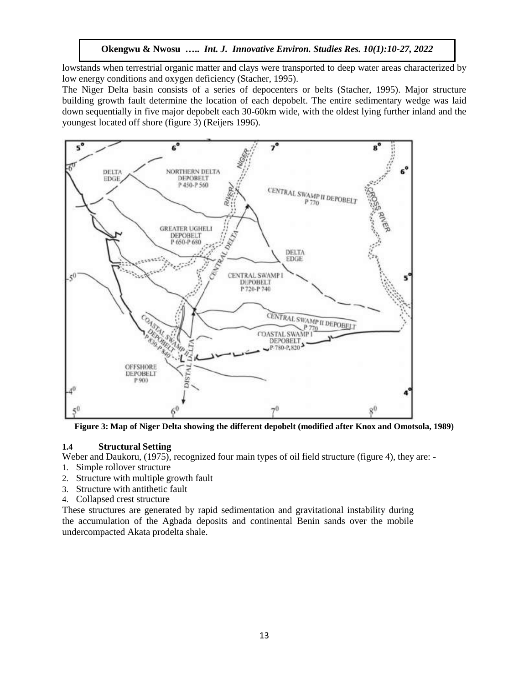lowstands when terrestrial organic matter and clays were transported to deep water areas characterized by low energy conditions and oxygen deficiency (Stacher, 1995).

The Niger Delta basin consists of a series of depocenters or belts (Stacher, 1995). Major structure building growth fault determine the location of each depobelt. The entire sedimentary wedge was laid down sequentially in five major depobelt each 30-60km wide, with the oldest lying further inland and the youngest located off shore (figure 3) (Reijers 1996).



**Figure 3: Map of Niger Delta showing the different depobelt (modified after Knox and Omotsola, 1989)**

#### **1.4 Structural Setting**

Weber and Daukoru, (1975), recognized four main types of oil field structure (figure 4), they are: -

- 1. Simple rollover structure
- 2. Structure with multiple growth fault
- 3. Structure with antithetic fault
- 4. Collapsed crest structure

These structures are generated by rapid sedimentation and gravitational instability during the accumulation of the Agbada deposits and continental Benin sands over the mobile undercompacted Akata prodelta shale.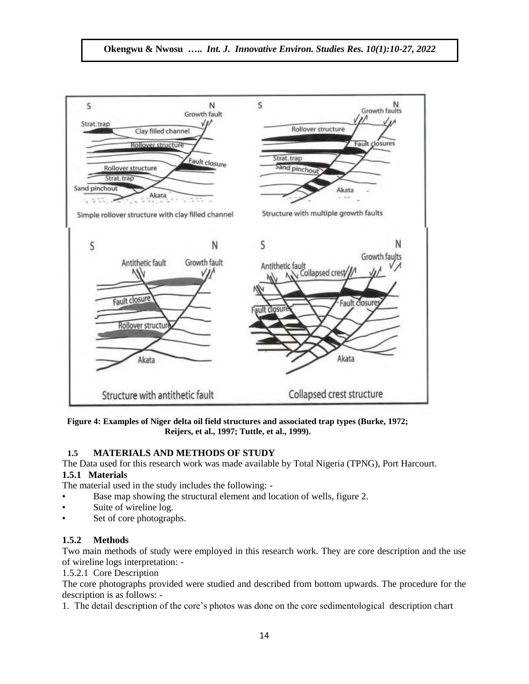

**Figure 4: Examples of Niger delta oil field structures and associated trap types (Burke, 1972; Reijers, et al., 1997; Tuttle, et al., 1999).**

# **1.5 MATERIALS AND METHODS OF STUDY**

The Data used for this research work was made available by Total Nigeria (TPNG), Port Harcourt. **1.5.1 Materials**

The material used in the study includes the following: -

- Base map showing the structural element and location of wells, figure 2.
- Suite of wireline log.
- Set of core photographs.

# **1.5.2 Methods**

Two main methods of study were employed in this research work. They are core description and the use of wireline logs interpretation: -

1.5.2.1 Core Description

The core photographs provided were studied and described from bottom upwards. The procedure for the description is as follows: -

1. The detail description of the core's photos was done on the core sedimentological description chart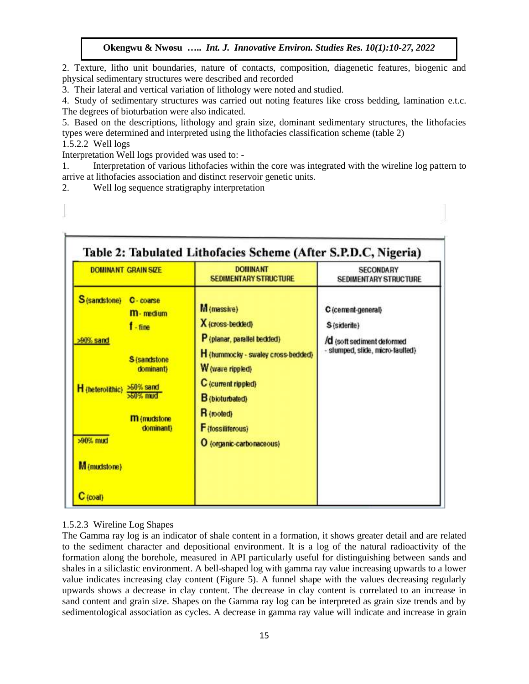2. Texture, litho unit boundaries, nature of contacts, composition, diagenetic features, biogenic and physical sedimentary structures were described and recorded

3. Their lateral and vertical variation of lithology were noted and studied.

4. Study of sedimentary structures was carried out noting features like cross bedding, lamination e.t.c. The degrees of bioturbation were also indicated.

5. Based on the descriptions, lithology and grain size, dominant sedimentary structures, the lithofacies types were determined and interpreted using the lithofacies classification scheme (table 2)

1.5.2.2 Well logs

Interpretation Well logs provided was used to: -

1. Interpretation of various lithofacies within the core was integrated with the wireline log pattern to arrive at lithofacies association and distinct reservoir genetic units.

2. Well log sequence stratigraphy interpretation

| <b>DOMINANT GRAIN SIZE</b>                                                                                                                                                                                                 | <b>DOMINANT</b><br><b>SEDIMENTARY STRUCTURE</b>                                                                                                                                                                                          | <b>SECONDARY</b><br><b>SEDIMENTARY STRUCTURE</b>                                                     |
|----------------------------------------------------------------------------------------------------------------------------------------------------------------------------------------------------------------------------|------------------------------------------------------------------------------------------------------------------------------------------------------------------------------------------------------------------------------------------|------------------------------------------------------------------------------------------------------|
| S (sandstone)<br>C-coarse<br><b>M</b> -medium<br>$f - fine$<br>>90% sand<br><b>S</b> (sandstone)<br>dominant)<br>H (heterolithic) >50% sand<br>$>50\%$ mud<br><b>m</b> (mudstone)<br>dominant)<br>>90% mud<br>M (mudstone) | M (massive)<br>X (cross-bedded)<br>P (planar, parallel bedded)<br>H (hummocky - swaley cross-bedded)<br>W (wave rippled)<br>C (current rippled)<br><b>B</b> (bioturbated)<br>R (rooted)<br>F (fossiliferous)<br>O (organic-carbonaceous) | C (cement-general)<br>S (siderite)<br>/d (soft sediment deformed<br>- slumped, slide, micro-faulted) |

### 1.5.2.3 Wireline Log Shapes

The Gamma ray log is an indicator of shale content in a formation, it shows greater detail and are related to the sediment character and depositional environment. It is a log of the natural radioactivity of the formation along the borehole, measured in API particularly useful for distinguishing between sands and shales in a siliclastic environment. A bell-shaped log with gamma ray value increasing upwards to a lower value indicates increasing clay content (Figure 5). A funnel shape with the values decreasing regularly upwards shows a decrease in clay content. The decrease in clay content is correlated to an increase in sand content and grain size. Shapes on the Gamma ray log can be interpreted as grain size trends and by sedimentological association as cycles. A decrease in gamma ray value will indicate and increase in grain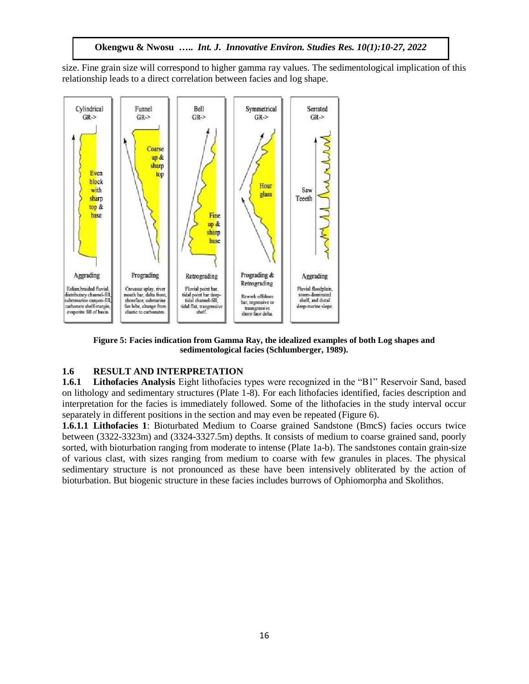size. Fine grain size will correspond to higher gamma ray values. The sedimentological implication of this relationship leads to a direct correlation between facies and log shape.



**Figure 5: Facies indication from Gamma Ray, the idealized examples of both Log shapes and sedimentological facies (Schlumberger, 1989).**

# **1.6 RESULT AND INTERPRETATION**

**1.6.1 Lithofacies Analysis** Eight lithofacies types were recognized in the "B1" Reservoir Sand, based on lithology and sedimentary structures (Plate 1-8). For each lithofacies identified, facies description and interpretation for the facies is immediately followed. Some of the lithofacies in the study interval occur separately in different positions in the section and may even be repeated (Figure 6).

**1.6.1.1 Lithofacies 1**: Bioturbated Medium to Coarse grained Sandstone (BmcS) facies occurs twice between (3322-3323m) and (3324-3327.5m) depths. It consists of medium to coarse grained sand, poorly sorted, with bioturbation ranging from moderate to intense (Plate 1a-b). The sandstones contain grain-size of various clast, with sizes ranging from medium to coarse with few granules in places. The physical sedimentary structure is not pronounced as these have been intensively obliterated by the action of bioturbation. But biogenic structure in these facies includes burrows of Ophiomorpha and Skolithos.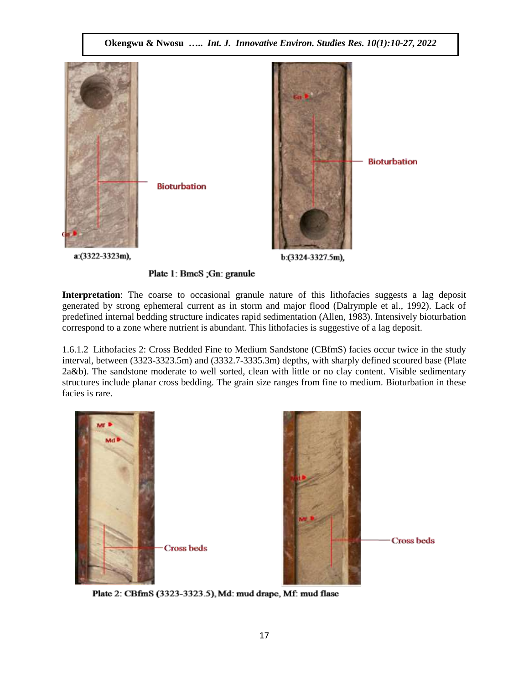

Interpretation: The coarse to occasional granule nature of this lithofacies suggests a lag deposit generated by strong ephemeral current as in storm and major flood (Dalrymple et al., 1992). Lack of predefined internal bedding structure indicates rapid sedimentation (Allen, 1983). Intensively bioturbation correspond to a zone where nutrient is abundant. This lithofacies is suggestive of a lag deposit.

1.6.1.2 Lithofacies 2: Cross Bedded Fine to Medium Sandstone (CBfmS) facies occur twice in the study interval, between (3323-3323.5m) and (3332.7-3335.3m) depths, with sharply defined scoured base (Plate 2a&b). The sandstone moderate to well sorted, clean with little or no clay content. Visible sedimentary structures include planar cross bedding. The grain size ranges from fine to medium. Bioturbation in these facies is rare.



Plate 2: CBfmS (3323-3323.5), Md: mud drape, Mf: mud flase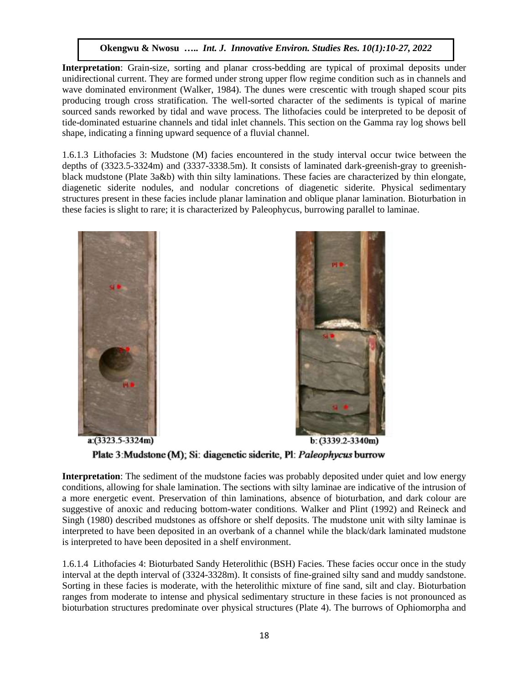**Interpretation**: Grain-size, sorting and planar cross-bedding are typical of proximal deposits under unidirectional current. They are formed under strong upper flow regime condition such as in channels and wave dominated environment (Walker, 1984). The dunes were crescentic with trough shaped scour pits producing trough cross stratification. The well-sorted character of the sediments is typical of marine sourced sands reworked by tidal and wave process. The lithofacies could be interpreted to be deposit of tide-dominated estuarine channels and tidal inlet channels. This section on the Gamma ray log shows bell shape, indicating a finning upward sequence of a fluvial channel.

1.6.1.3 Lithofacies 3: Mudstone (M) facies encountered in the study interval occur twice between the depths of (3323.5-3324m) and (3337-3338.5m). It consists of laminated dark-greenish-gray to greenishblack mudstone (Plate 3a&b) with thin silty laminations. These facies are characterized by thin elongate, diagenetic siderite nodules, and nodular concretions of diagenetic siderite. Physical sedimentary structures present in these facies include planar lamination and oblique planar lamination. Bioturbation in these facies is slight to rare; it is characterized by Paleophycus, burrowing parallel to laminae.





Plate 3: Mudstone (M); Si: diagenetic siderite, Pl: Paleophycus burrow

**Interpretation**: The sediment of the mudstone facies was probably deposited under quiet and low energy conditions, allowing for shale lamination. The sections with silty laminae are indicative of the intrusion of a more energetic event. Preservation of thin laminations, absence of bioturbation, and dark colour are suggestive of anoxic and reducing bottom-water conditions. Walker and Plint (1992) and Reineck and Singh (1980) described mudstones as offshore or shelf deposits. The mudstone unit with silty laminae is interpreted to have been deposited in an overbank of a channel while the black/dark laminated mudstone is interpreted to have been deposited in a shelf environment.

1.6.1.4 Lithofacies 4: Bioturbated Sandy Heterolithic (BSH) Facies. These facies occur once in the study interval at the depth interval of (3324-3328m). It consists of fine-grained silty sand and muddy sandstone. Sorting in these facies is moderate, with the heterolithic mixture of fine sand, silt and clay. Bioturbation ranges from moderate to intense and physical sedimentary structure in these facies is not pronounced as bioturbation structures predominate over physical structures (Plate 4). The burrows of Ophiomorpha and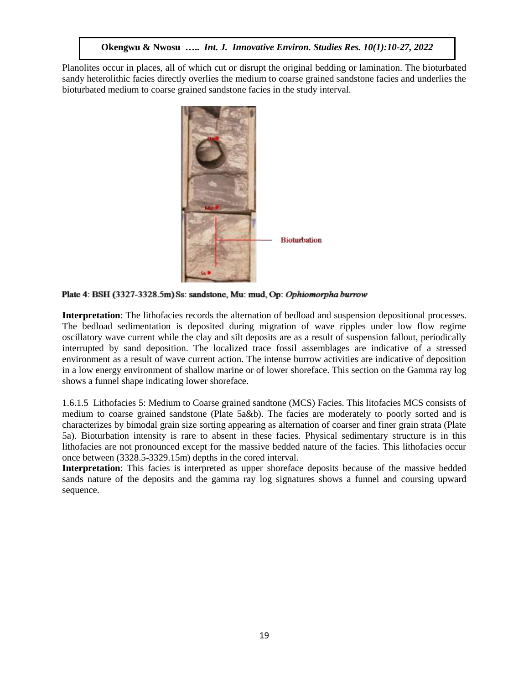Planolites occur in places, all of which cut or disrupt the original bedding or lamination. The bioturbated sandy heterolithic facies directly overlies the medium to coarse grained sandstone facies and underlies the bioturbated medium to coarse grained sandstone facies in the study interval.



Plate 4: BSH (3327-3328.5m) Ss: sandstone, Mu: mud, Op: Ophiomorpha burrow

**Interpretation**: The lithofacies records the alternation of bedload and suspension depositional processes. The bedload sedimentation is deposited during migration of wave ripples under low flow regime oscillatory wave current while the clay and silt deposits are as a result of suspension fallout, periodically interrupted by sand deposition. The localized trace fossil assemblages are indicative of a stressed environment as a result of wave current action. The intense burrow activities are indicative of deposition in a low energy environment of shallow marine or of lower shoreface. This section on the Gamma ray log shows a funnel shape indicating lower shoreface.

1.6.1.5 Lithofacies 5: Medium to Coarse grained sandtone (MCS) Facies. This litofacies MCS consists of medium to coarse grained sandstone (Plate 5a&b). The facies are moderately to poorly sorted and is characterizes by bimodal grain size sorting appearing as alternation of coarser and finer grain strata (Plate 5a). Bioturbation intensity is rare to absent in these facies. Physical sedimentary structure is in this lithofacies are not pronounced except for the massive bedded nature of the facies. This lithofacies occur once between (3328.5-3329.15m) depths in the cored interval.

**Interpretation**: This facies is interpreted as upper shoreface deposits because of the massive bedded sands nature of the deposits and the gamma ray log signatures shows a funnel and coursing upward sequence.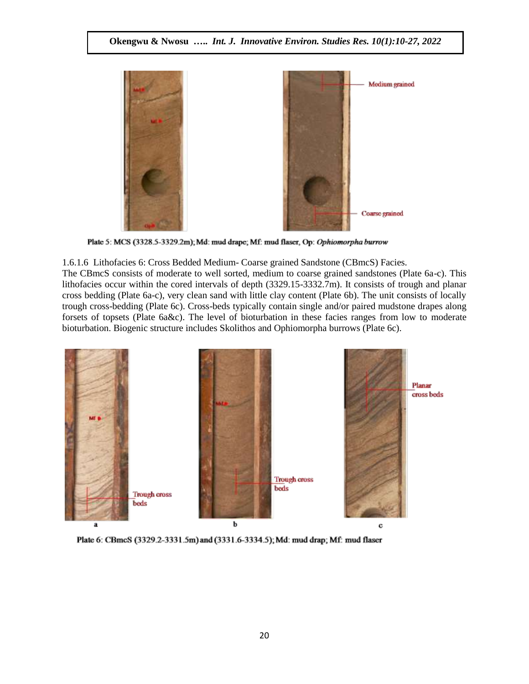

Plate 5: MCS (3328.5-3329.2m); Md: mud drape; Mf: mud flaser, Op: Ophiomorpha burrow

1.6.1.6 Lithofacies 6: Cross Bedded Medium- Coarse grained Sandstone (CBmcS) Facies.

The CBmcS consists of moderate to well sorted, medium to coarse grained sandstones (Plate 6a-c). This lithofacies occur within the cored intervals of depth (3329.15-3332.7m). It consists of trough and planar cross bedding (Plate 6a-c), very clean sand with little clay content (Plate 6b). The unit consists of locally trough cross-bedding (Plate 6c). Cross-beds typically contain single and/or paired mudstone drapes along forsets of topsets (Plate 6a&c). The level of bioturbation in these facies ranges from low to moderate bioturbation. Biogenic structure includes Skolithos and Ophiomorpha burrows (Plate 6c).



Plate 6: CBmcS (3329.2-3331.5m) and (3331.6-3334.5); Md: mud drap; Mf: mud flaser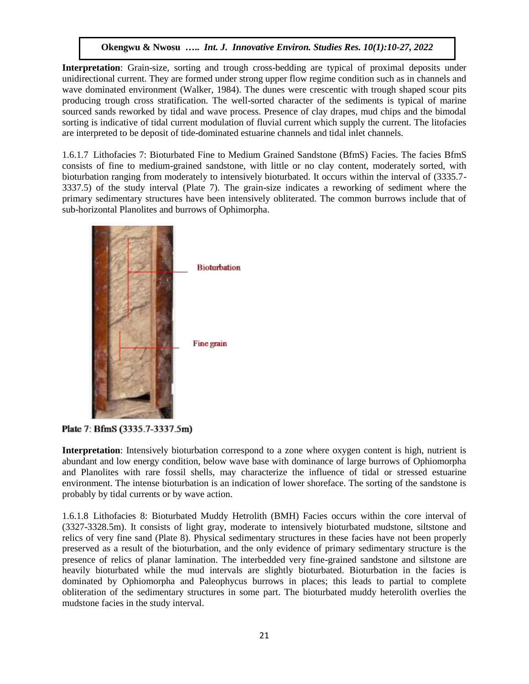**Interpretation**: Grain-size, sorting and trough cross-bedding are typical of proximal deposits under unidirectional current. They are formed under strong upper flow regime condition such as in channels and wave dominated environment (Walker, 1984). The dunes were crescentic with trough shaped scour pits producing trough cross stratification. The well-sorted character of the sediments is typical of marine sourced sands reworked by tidal and wave process. Presence of clay drapes, mud chips and the bimodal sorting is indicative of tidal current modulation of fluvial current which supply the current. The litofacies are interpreted to be deposit of tide-dominated estuarine channels and tidal inlet channels.

1.6.1.7 Lithofacies 7: Bioturbated Fine to Medium Grained Sandstone (BfmS) Facies. The facies BfmS consists of fine to medium-grained sandstone, with little or no clay content, moderately sorted, with bioturbation ranging from moderately to intensively bioturbated. It occurs within the interval of (3335.7- 3337.5) of the study interval (Plate 7). The grain-size indicates a reworking of sediment where the primary sedimentary structures have been intensively obliterated. The common burrows include that of sub-horizontal Planolites and burrows of Ophimorpha.



Plate 7: BfmS (3335.7-3337.5m)

**Interpretation**: Intensively bioturbation correspond to a zone where oxygen content is high, nutrient is abundant and low energy condition, below wave base with dominance of large burrows of Ophiomorpha and Planolites with rare fossil shells, may characterize the influence of tidal or stressed estuarine environment. The intense bioturbation is an indication of lower shoreface. The sorting of the sandstone is probably by tidal currents or by wave action.

1.6.1.8 Lithofacies 8: Bioturbated Muddy Hetrolith (BMH) Facies occurs within the core interval of (3327-3328.5m). It consists of light gray, moderate to intensively bioturbated mudstone, siltstone and relics of very fine sand (Plate 8). Physical sedimentary structures in these facies have not been properly preserved as a result of the bioturbation, and the only evidence of primary sedimentary structure is the presence of relics of planar lamination. The interbedded very fine-grained sandstone and siltstone are heavily bioturbated while the mud intervals are slightly bioturbated. Bioturbation in the facies is dominated by Ophiomorpha and Paleophycus burrows in places; this leads to partial to complete obliteration of the sedimentary structures in some part. The bioturbated muddy heterolith overlies the mudstone facies in the study interval.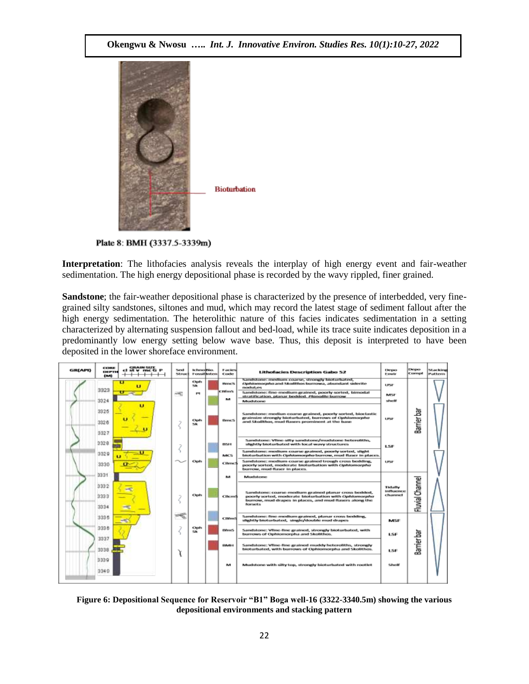

Plate 8: BMH (3337.5-3339m)

**Interpretation**: The lithofacies analysis reveals the interplay of high energy event and fair-weather sedimentation. The high energy depositional phase is recorded by the wavy rippled, finer grained.

**Sandstone**; the fair-weather depositional phase is characterized by the presence of interbedded, very finegrained silty sandstones, siltones and mud, which may record the latest stage of sediment fallout after the high energy sedimentation. The heterolithic nature of this facies indicates sedimentation in a setting characterized by alternating suspension fallout and bed-load, while its trace suite indicates deposition in a predominantly low energy setting below wave base. Thus, this deposit is interpreted to have been deposited in the lower shoreface environment.

| GR(API) | <b>CORR</b><br><b>EXERTER</b><br>(M) | <b>GRAIN SIZE</b><br>at v me G<br>P | News<br><b>NETTING</b> | tetensitie.<br><b>Fossitinten</b> | <b>Facies</b><br>Code | <b>Lithofacies Description Gabo 52</b>                                                                                                                                                      | Depo<br>Executiv                        | Depo<br>Compt   | Stacking<br>Pattern |
|---------|--------------------------------------|-------------------------------------|------------------------|-----------------------------------|-----------------------|---------------------------------------------------------------------------------------------------------------------------------------------------------------------------------------------|-----------------------------------------|-----------------|---------------------|
|         | 3323                                 |                                     |                        | Opt<br><b>NA</b>                  | <b>Burner's</b>       | Sandstone: medium coarse, strongly bioturbated,<br>cyahiamaayahu and Skodithos burnowa, abundant siderite<br>nodulpes                                                                       | <b>USE</b>                              |                 |                     |
|         |                                      |                                     | нę                     | 19                                | customs               | Sandstone: fine-medium grained, poorly sorted, bimodal<br>stratification, planar bodded. Planolite burrow                                                                                   | <b>MSF</b>                              |                 |                     |
|         | 3324                                 |                                     |                        |                                   | M                     | Musicianae                                                                                                                                                                                  | shelf                                   |                 |                     |
|         | 3325<br>3326<br>3327                 |                                     |                        | Oph<br>sa.                        | Benc <sub>5</sub>     | Sandstone: mediun-coanse grained, poorly sorted, bioclastic<br>grainsize strongly bioturbated, burrows of Ophlomorpho<br>and Skolifbox, mud flavors prominent at the base                   | <b>LPMF</b>                             | Barrier bar     |                     |
|         | 3328                                 |                                     |                        |                                   | 8581                  | Sandstone: Vilne-silly sandstone/mudstone heteroliths,<br>slightly bioturbated with local wavy structures                                                                                   | LSF                                     |                 |                     |
|         | 3329                                 |                                     |                        |                                   | MCS                   | Sandstone: medium-coanse grained, poorly serbed, slight<br>bioturbation with Ophkonorphe burrow, mud flaser in places.                                                                      |                                         |                 |                     |
|         | 3330                                 |                                     |                        | Oph                               | <b>CBmd</b>           | Sandstone: modium-coarse grained trough cross bedding.<br>poorly sorted, moderate bioturbation with Ophlomorphe<br>burrow, mud flaser in places.                                            | <b>LESP</b>                             |                 |                     |
|         | 3331                                 |                                     |                        |                                   | M                     | Mudatoras                                                                                                                                                                                   |                                         |                 |                     |
|         | 3332<br>3333<br>3334                 |                                     |                        | Oph                               | <b>Cikem\$</b>        | Sandstone: coane-medium grained planar cross bedded,<br>poorly sorted, moderate bioturbation with Ophlomorphe<br>burrow, mud drapes in places, and mud flasers along the<br><b>Bornetts</b> | <b>Tickally</b><br>influence<br>channel | Fluvial Channel |                     |
|         | 3336                                 |                                     | ≔≪                     |                                   | CBfmS                 | Sandstone: fine-medium grained, planar cross bedding,<br>slightly bioturbated, single/double mud drapes                                                                                     | MSE                                     |                 |                     |
|         | 3336<br>3337                         |                                     |                        | Oph<br>SK.                        | <b>BimS</b>           | Sandstone: Vilne-fine grained, strongly bioturbated, with<br>burrows of Ophiomorpha and Skolithos.                                                                                          | LSF                                     |                 |                     |
|         | 3338                                 |                                     |                        |                                   | 110-01-1              | Sandstone: Vilne-fine grained muddy heteroliths, strongly<br>bloturbated, with burrows of Ophiomorpha and Skolithos.                                                                        | LSE                                     | Barrier bar     |                     |
|         | 3339<br>3340                         |                                     |                        |                                   | M                     | Mudstone with silty top, strongly bioturbated with rootlet                                                                                                                                  | Sholt                                   |                 |                     |

**Figure 6: Depositional Sequence for Reservoir "B1" Boga well-16 (3322-3340.5m) showing the various depositional environments and stacking pattern**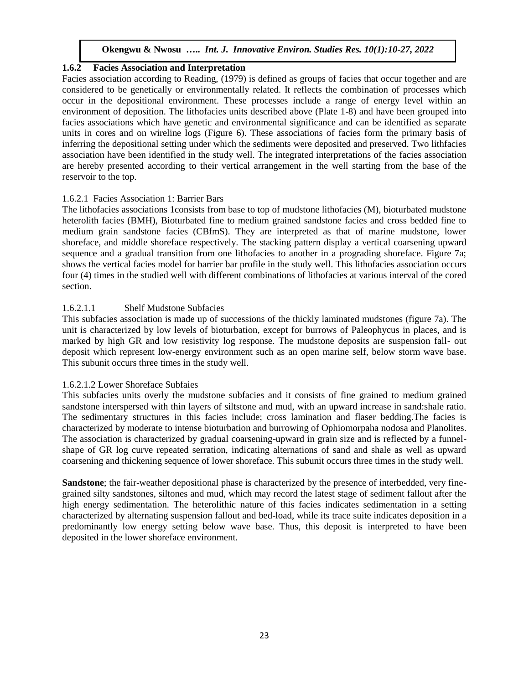### **1.6.2 Facies Association and Interpretation**

Facies association according to Reading, (1979) is defined as groups of facies that occur together and are considered to be genetically or environmentally related. It reflects the combination of processes which occur in the depositional environment. These processes include a range of energy level within an environment of deposition. The lithofacies units described above (Plate 1-8) and have been grouped into facies associations which have genetic and environmental significance and can be identified as separate units in cores and on wireline logs (Figure 6). These associations of facies form the primary basis of inferring the depositional setting under which the sediments were deposited and preserved. Two lithfacies association have been identified in the study well. The integrated interpretations of the facies association are hereby presented according to their vertical arrangement in the well starting from the base of the reservoir to the top.

#### 1.6.2.1 Facies Association 1: Barrier Bars

The lithofacies associations 1consists from base to top of mudstone lithofacies (M), bioturbated mudstone heterolith facies (BMH), Bioturbated fine to medium grained sandstone facies and cross bedded fine to medium grain sandstone facies (CBfmS). They are interpreted as that of marine mudstone, lower shoreface, and middle shoreface respectively. The stacking pattern display a vertical coarsening upward sequence and a gradual transition from one lithofacies to another in a prograding shoreface. Figure 7a; shows the vertical facies model for barrier bar profile in the study well. This lithofacies association occurs four (4) times in the studied well with different combinations of lithofacies at various interval of the cored section.

### 1.6.2.1.1 Shelf Mudstone Subfacies

This subfacies association is made up of successions of the thickly laminated mudstones (figure 7a). The unit is characterized by low levels of bioturbation, except for burrows of Paleophycus in places, and is marked by high GR and low resistivity log response. The mudstone deposits are suspension fall- out deposit which represent low-energy environment such as an open marine self, below storm wave base. This subunit occurs three times in the study well.

### 1.6.2.1.2 Lower Shoreface Subfaies

This subfacies units overly the mudstone subfacies and it consists of fine grained to medium grained sandstone interspersed with thin layers of siltstone and mud, with an upward increase in sand:shale ratio. The sedimentary structures in this facies include; cross lamination and flaser bedding.The facies is characterized by moderate to intense bioturbation and burrowing of Ophiomorpaha nodosa and Planolites. The association is characterized by gradual coarsening-upward in grain size and is reflected by a funnelshape of GR log curve repeated serration, indicating alternations of sand and shale as well as upward coarsening and thickening sequence of lower shoreface. This subunit occurs three times in the study well.

**Sandstone**; the fair-weather depositional phase is characterized by the presence of interbedded, very finegrained silty sandstones, siltones and mud, which may record the latest stage of sediment fallout after the high energy sedimentation. The heterolithic nature of this facies indicates sedimentation in a setting characterized by alternating suspension fallout and bed-load, while its trace suite indicates deposition in a predominantly low energy setting below wave base. Thus, this deposit is interpreted to have been deposited in the lower shoreface environment.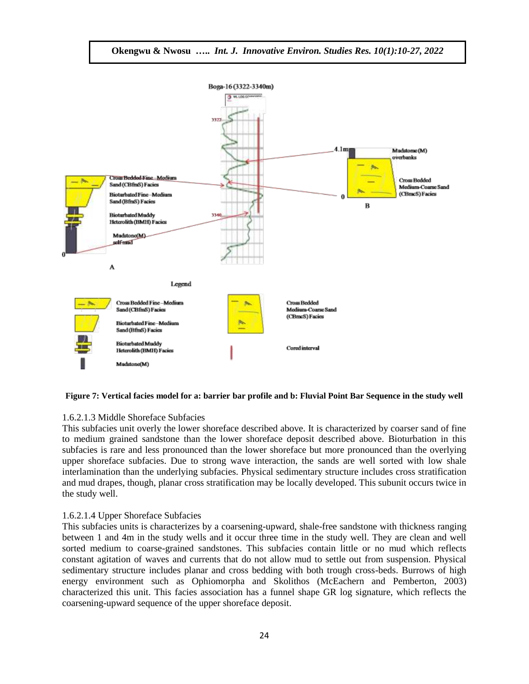

#### **Figure 7: Vertical facies model for a: barrier bar profile and b: Fluvial Point Bar Sequence in the study well**

#### 1.6.2.1.3 Middle Shoreface Subfacies

This subfacies unit overly the lower shoreface described above. It is characterized by coarser sand of fine to medium grained sandstone than the lower shoreface deposit described above. Bioturbation in this subfacies is rare and less pronounced than the lower shoreface but more pronounced than the overlying upper shoreface subfacies. Due to strong wave interaction, the sands are well sorted with low shale interlamination than the underlying subfacies. Physical sedimentary structure includes cross stratification and mud drapes, though, planar cross stratification may be locally developed. This subunit occurs twice in the study well.

#### 1.6.2.1.4 Upper Shoreface Subfacies

This subfacies units is characterizes by a coarsening-upward, shale-free sandstone with thickness ranging between 1 and 4m in the study wells and it occur three time in the study well. They are clean and well sorted medium to coarse-grained sandstones. This subfacies contain little or no mud which reflects constant agitation of waves and currents that do not allow mud to settle out from suspension. Physical sedimentary structure includes planar and cross bedding with both trough cross-beds. Burrows of high energy environment such as Ophiomorpha and Skolithos (McEachern and Pemberton, 2003) characterized this unit. This facies association has a funnel shape GR log signature, which reflects the coarsening-upward sequence of the upper shoreface deposit.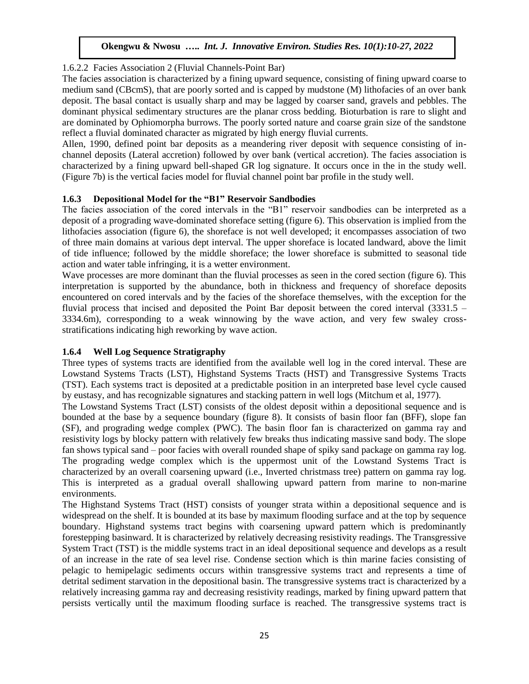## 1.6.2.2 Facies Association 2 (Fluvial Channels-Point Bar)

The facies association is characterized by a fining upward sequence, consisting of fining upward coarse to medium sand (CBcmS), that are poorly sorted and is capped by mudstone (M) lithofacies of an over bank deposit. The basal contact is usually sharp and may be lagged by coarser sand, gravels and pebbles. The dominant physical sedimentary structures are the planar cross bedding. Bioturbation is rare to slight and are dominated by Ophiomorpha burrows. The poorly sorted nature and coarse grain size of the sandstone reflect a fluvial dominated character as migrated by high energy fluvial currents.

Allen, 1990, defined point bar deposits as a meandering river deposit with sequence consisting of inchannel deposits (Lateral accretion) followed by over bank (vertical accretion). The facies association is characterized by a fining upward bell-shaped GR log signature. It occurs once in the in the study well. (Figure 7b) is the vertical facies model for fluvial channel point bar profile in the study well.

## **1.6.3 Depositional Model for the "B1" Reservoir Sandbodies**

The facies association of the cored intervals in the "B1" reservoir sandbodies can be interpreted as a deposit of a prograding wave-dominated shoreface setting (figure 6). This observation is implied from the lithofacies association (figure 6), the shoreface is not well developed; it encompasses association of two of three main domains at various dept interval. The upper shoreface is located landward, above the limit of tide influence; followed by the middle shoreface; the lower shoreface is submitted to seasonal tide action and water table infringing, it is a wetter environment.

Wave processes are more dominant than the fluvial processes as seen in the cored section (figure 6). This interpretation is supported by the abundance, both in thickness and frequency of shoreface deposits encountered on cored intervals and by the facies of the shoreface themselves, with the exception for the fluvial process that incised and deposited the Point Bar deposit between the cored interval (3331.5 – 3334.6m), corresponding to a weak winnowing by the wave action, and very few swaley crossstratifications indicating high reworking by wave action.

# **1.6.4 Well Log Sequence Stratigraphy**

Three types of systems tracts are identified from the available well log in the cored interval. These are Lowstand Systems Tracts (LST), Highstand Systems Tracts (HST) and Transgressive Systems Tracts (TST). Each systems tract is deposited at a predictable position in an interpreted base level cycle caused by eustasy, and has recognizable signatures and stacking pattern in well logs (Mitchum et al, 1977).

The Lowstand Systems Tract (LST) consists of the oldest deposit within a depositional sequence and is bounded at the base by a sequence boundary (figure 8). It consists of basin floor fan (BFF), slope fan (SF), and prograding wedge complex (PWC). The basin floor fan is characterized on gamma ray and resistivity logs by blocky pattern with relatively few breaks thus indicating massive sand body. The slope fan shows typical sand – poor facies with overall rounded shape of spiky sand package on gamma ray log. The prograding wedge complex which is the uppermost unit of the Lowstand Systems Tract is characterized by an overall coarsening upward (i.e., Inverted christmass tree) pattern on gamma ray log. This is interpreted as a gradual overall shallowing upward pattern from marine to non-marine environments.

The Highstand Systems Tract (HST) consists of younger strata within a depositional sequence and is widespread on the shelf. It is bounded at its base by maximum flooding surface and at the top by sequence boundary. Highstand systems tract begins with coarsening upward pattern which is predominantly forestepping basinward. It is characterized by relatively decreasing resistivity readings. The Transgressive System Tract (TST) is the middle systems tract in an ideal depositional sequence and develops as a result of an increase in the rate of sea level rise. Condense section which is thin marine facies consisting of pelagic to hemipelagic sediments occurs within transgressive systems tract and represents a time of detrital sediment starvation in the depositional basin. The transgressive systems tract is characterized by a relatively increasing gamma ray and decreasing resistivity readings, marked by fining upward pattern that persists vertically until the maximum flooding surface is reached. The transgressive systems tract is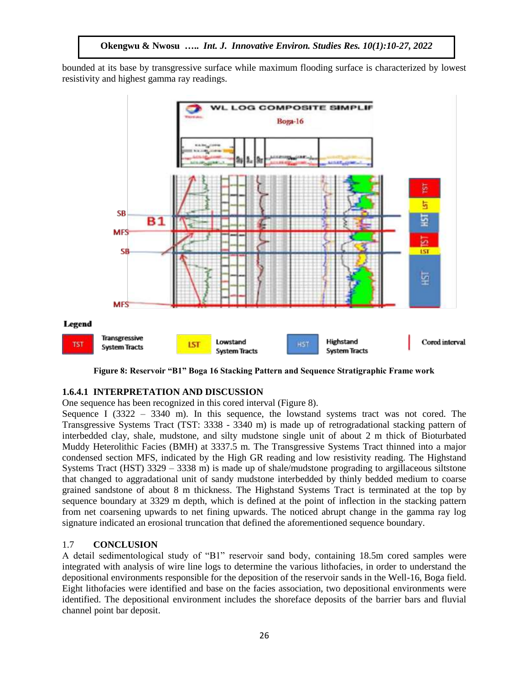bounded at its base by transgressive surface while maximum flooding surface is characterized by lowest resistivity and highest gamma ray readings.



**Figure 8: Reservoir "B1" Boga 16 Stacking Pattern and Sequence Stratigraphic Frame work**

#### **1.6.4.1 INTERPRETATION AND DISCUSSION**

One sequence has been recognized in this cored interval (Figure 8).

Sequence I ( $3322 - 3340$  m). In this sequence, the lowstand systems tract was not cored. The Transgressive Systems Tract (TST: 3338 - 3340 m) is made up of retrogradational stacking pattern of interbedded clay, shale, mudstone, and silty mudstone single unit of about 2 m thick of Bioturbated Muddy Heterolithic Facies (BMH) at 3337.5 m. The Transgressive Systems Tract thinned into a major condensed section MFS, indicated by the High GR reading and low resistivity reading. The Highstand Systems Tract (HST) 3329 – 3338 m) is made up of shale/mudstone prograding to argillaceous siltstone that changed to aggradational unit of sandy mudstone interbedded by thinly bedded medium to coarse grained sandstone of about 8 m thickness. The Highstand Systems Tract is terminated at the top by sequence boundary at 3329 m depth, which is defined at the point of inflection in the stacking pattern from net coarsening upwards to net fining upwards. The noticed abrupt change in the gamma ray log signature indicated an erosional truncation that defined the aforementioned sequence boundary.

#### 1.7 **CONCLUSION**

A detail sedimentological study of "B1" reservoir sand body, containing 18.5m cored samples were integrated with analysis of wire line logs to determine the various lithofacies, in order to understand the depositional environments responsible for the deposition of the reservoir sands in the Well-16, Boga field. Eight lithofacies were identified and base on the facies association, two depositional environments were identified. The depositional environment includes the shoreface deposits of the barrier bars and fluvial channel point bar deposit.